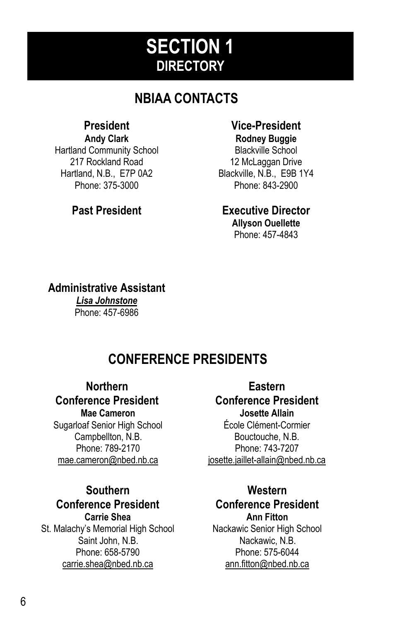# **SECTION 1 DIRECTORY**

# **NBIAA CONTACTS**

### **President**

**Andy Clark**  Hartland Community School 217 Rockland Road Hartland, N.B., E7P 0A2 Phone: 375-3000

#### **Vice-President Rodney Buggie**

Blackville School 12 McLaggan Drive Blackville, N.B., E9B 1Y4 Phone: 843-2900

### **Past President Executive Director**

**Allyson Ouellette**  Phone: 457-4843

### **Administrative Assistant**

*Lisa Johnstone*  Phone: 457-6986

## **CONFERENCE PRESIDENTS**

### **Northern**

### **Conference President**

**Mae Cameron**  Sugarloaf Senior High School Campbellton, N.B. Phone: 789-2170 mae.cameron@nbed.nb.ca

#### **Southern Conference President Carrie Shea**

St. Malachy's Memorial High School Saint John, N.B. Phone: 658-5790 carrie.shea@nbed.nb.ca

**Eastern Conference President Josette Allain**  École Clément-Cormier Bouctouche, N.B. Phone: 743-7207 josette.jaillet-allain@nbed.nb.ca

## **Western Conference President**

**Ann Fitton**  Nackawic Senior High School Nackawic, N.B. Phone: 575-6044 ann.fitton@nbed.nb.ca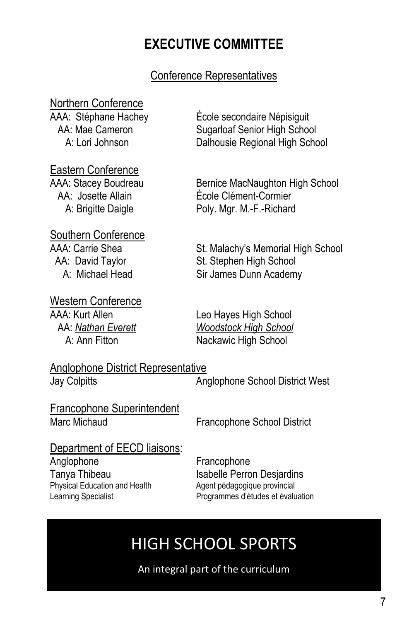## **EXECUTIVE COMMITTEE**

### Conference Representatives

# Northern Conference<br>AAA: Stéphane Hachey

#### Eastern Conference

# Southern Conference<br>AAA: Carrie Shea

### Western Conference

École secondaire Népisiquit AA: Mae Cameron Sugarloaf Senior High School A: Lori Johnson Dalhousie Regional High School

AAA: Stacey Boudreau Bernice MacNaughton High School AA: Josette Allain École Clément-Cormier A: Brigitte Daigle **Poly. Mar. M.-F.-Richard** 

AA: Carrie Shea St. Malachy's Memorial High School<br>AA: David Taylor St. Stephen High School St. Stephen High School A: Michael Head Sir James Dunn Academy

AAA: Kurt Allen Leo Hayes High School<br>AA: Nathan Everett Woodstock High School A: <u>Nathan Everett</u> and *Woodstock High School*<br>A: Ann Fitton **Mackawic High School** Nackawic High School

Anglophone District Representative Jay Colpitts Anglophone School District West

**Francophone Superintendent**<br>Marc Michaud

Francophone School District

### Department of EECD liaisons:

Anglophone Francophone Physical Education and Health Agent pédagogique provincial<br>
Learning Specialist **Agent Programmes** d'études et évalu

Tanya Thibeau **Isabelle Perron Desjardins** Programmes d'études et évaluation

# HIGH SCHOOL SPORTS

An integral part of the curriculum